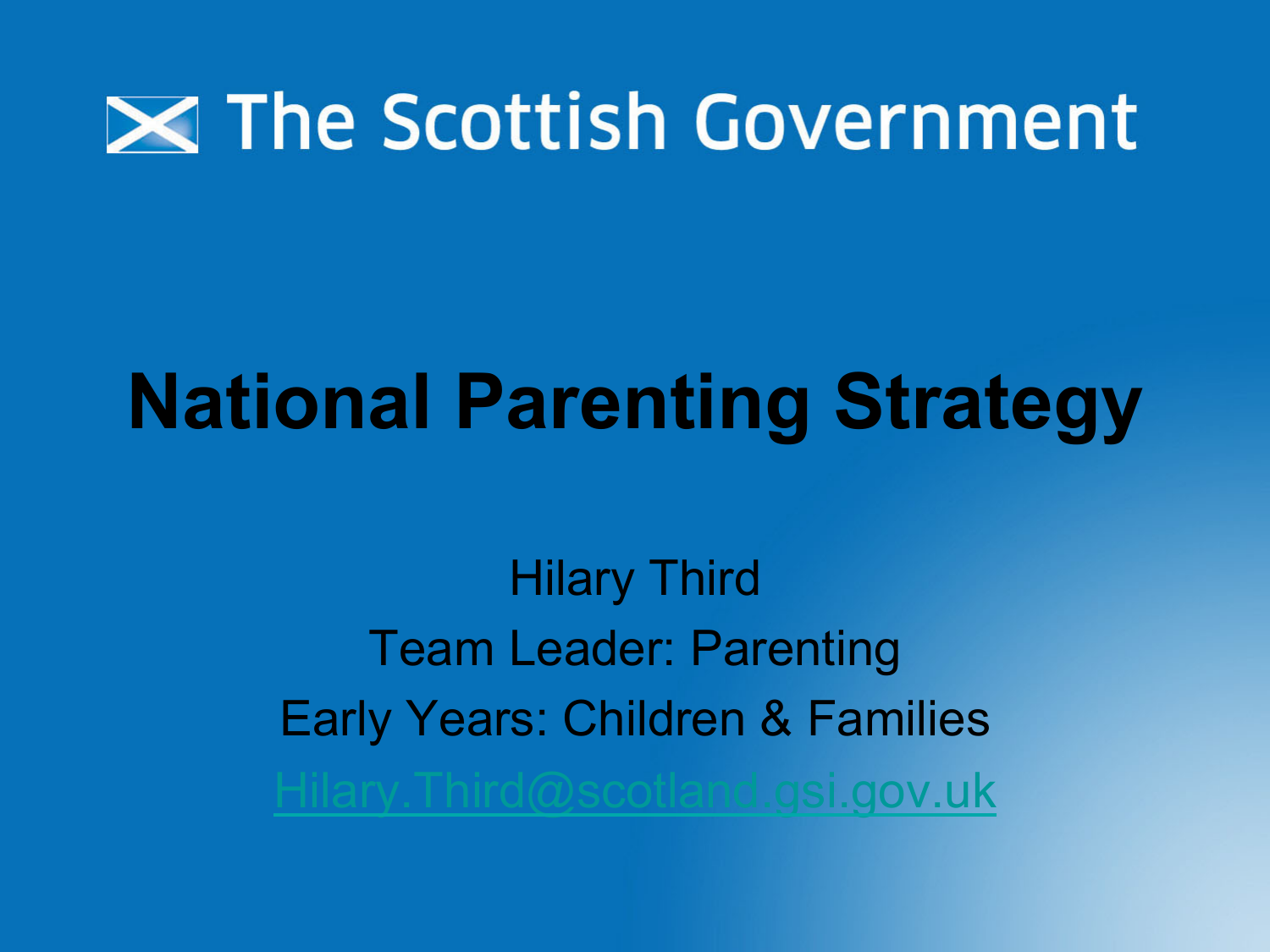

## **National Parenting Strategy**

Hilary Third Team Leader: Parenting Early Years: Children & Families @scotland.gsi.gov.uk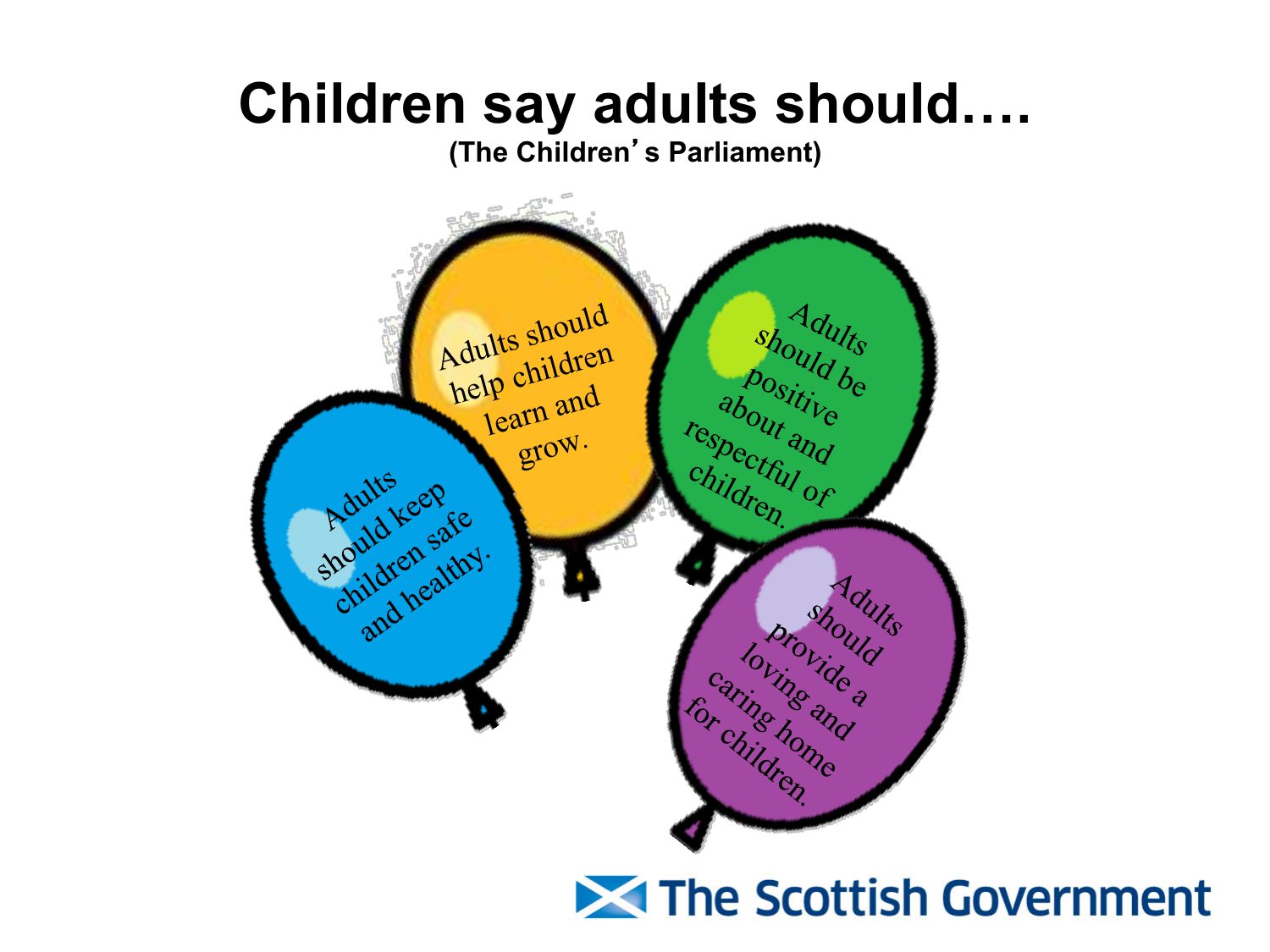#### **Children say adults should….**

**(The Children**'**s Parliament)**



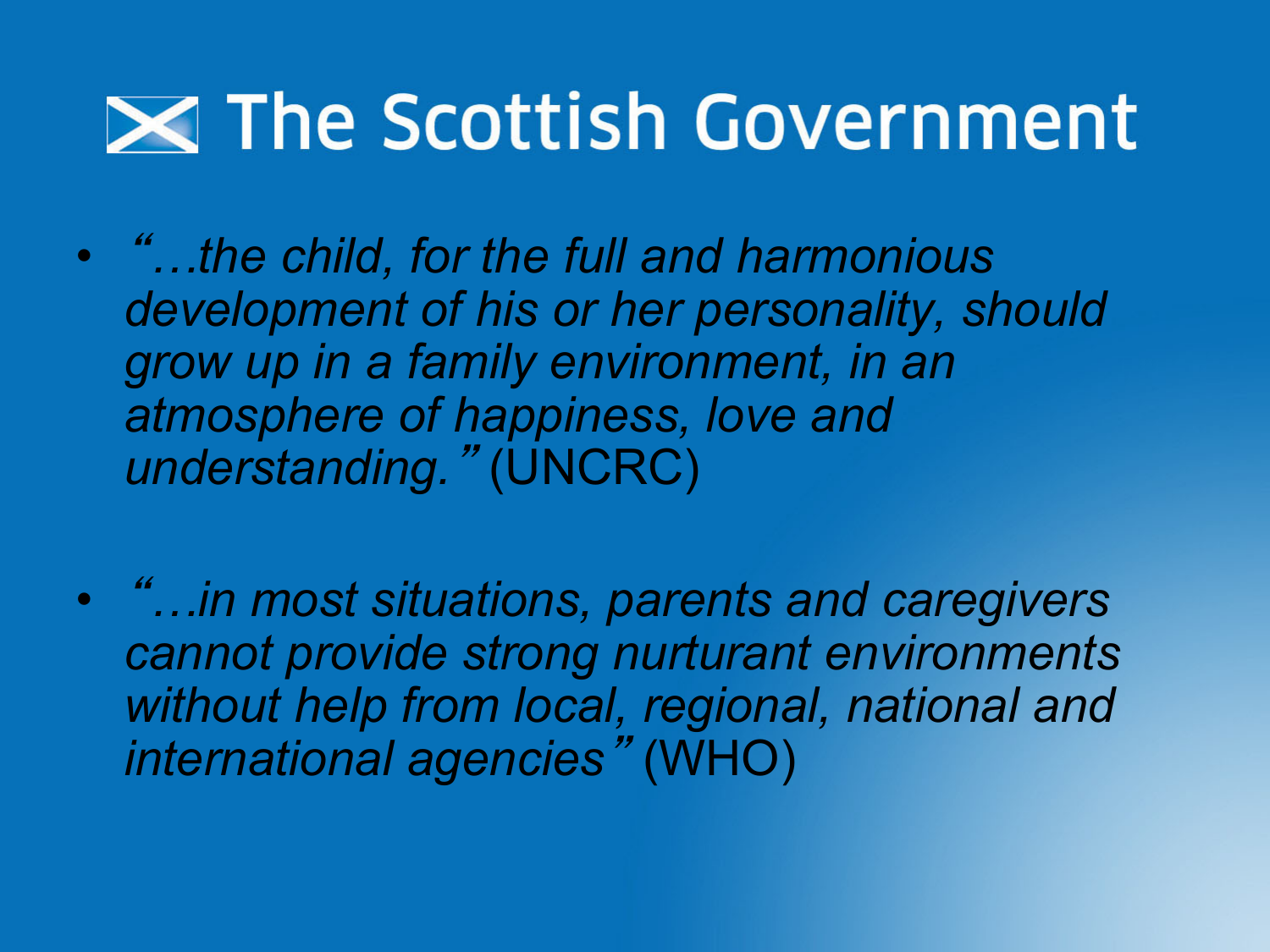• "*…the child, for the full and harmonious development of his or her personality, should grow up in a family environment, in an atmosphere of happiness, love and understanding.*" (UNCRC)

• "*…in most situations, parents and caregivers cannot provide strong nurturant environments without help from local, regional, national and international agencies*" (WHO)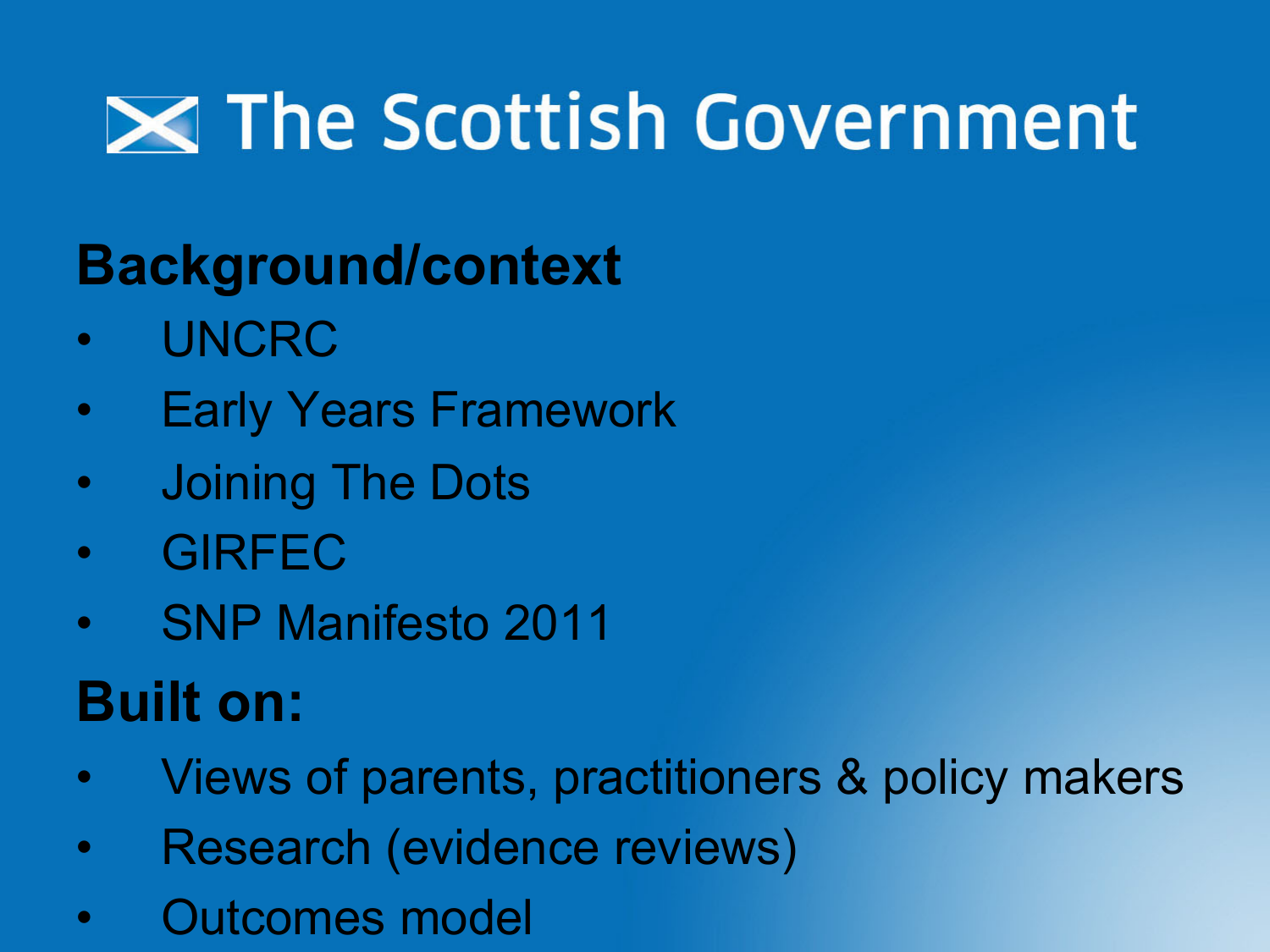# **Exagger The Scottish Government**

#### **Background/context**

- UNCRC
- Early Years Framework
- Joining The Dots
- GIRFEC
- SNP Manifesto 2011

#### **Built on:**

- Views of parents, practitioners & policy makers
- Research (evidence reviews)
- Outcomes model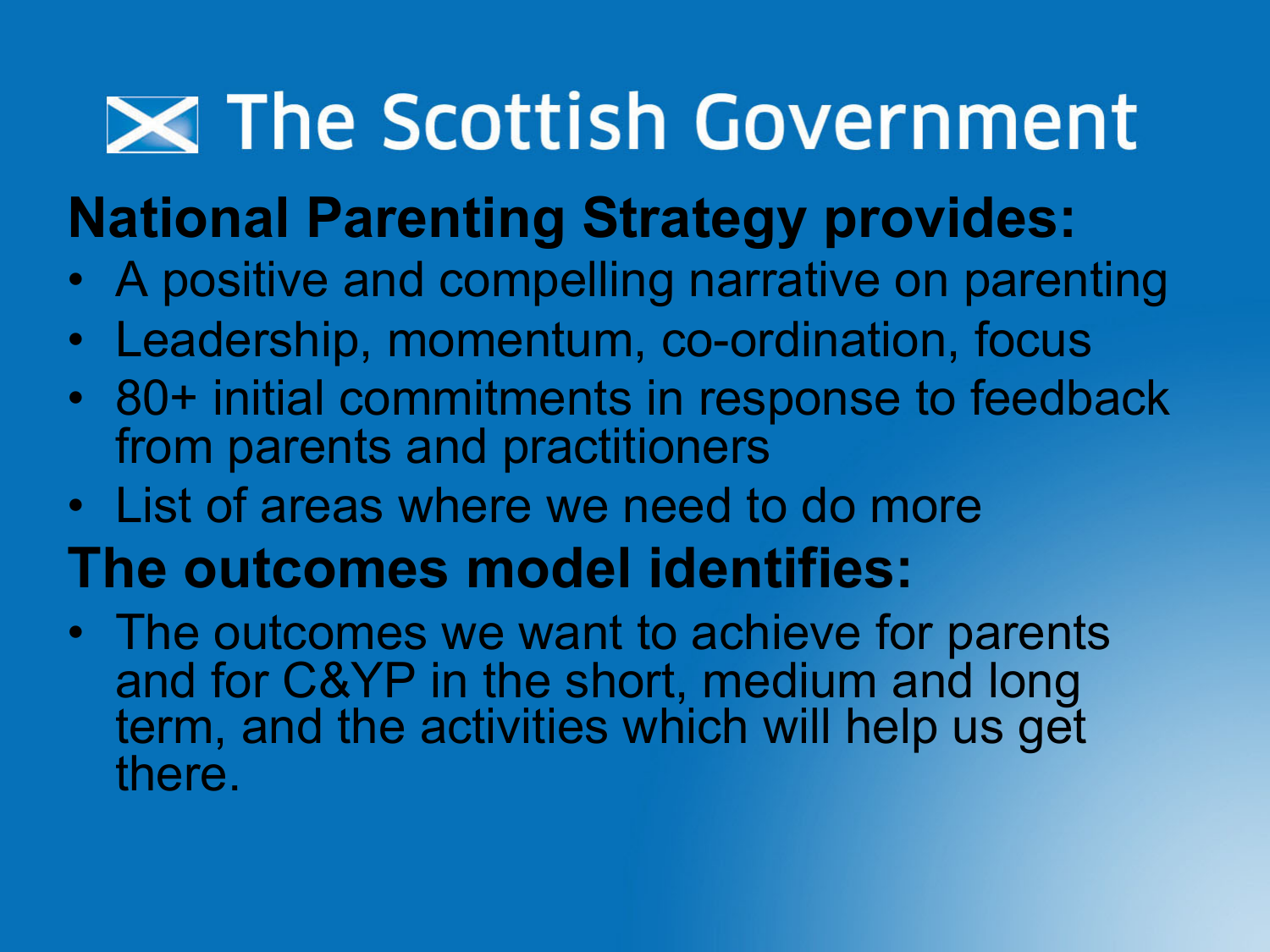#### **National Parenting Strategy provides:**

- A positive and compelling narrative on parenting
- Leadership, momentum, co-ordination, focus
- 80+ initial commitments in response to feedback from parents and practitioners
- List of areas where we need to do more
- **The outcomes model identifies:**
- The outcomes we want to achieve for parents and for C&YP in the short, medium and long term, and the activities which will help us get there.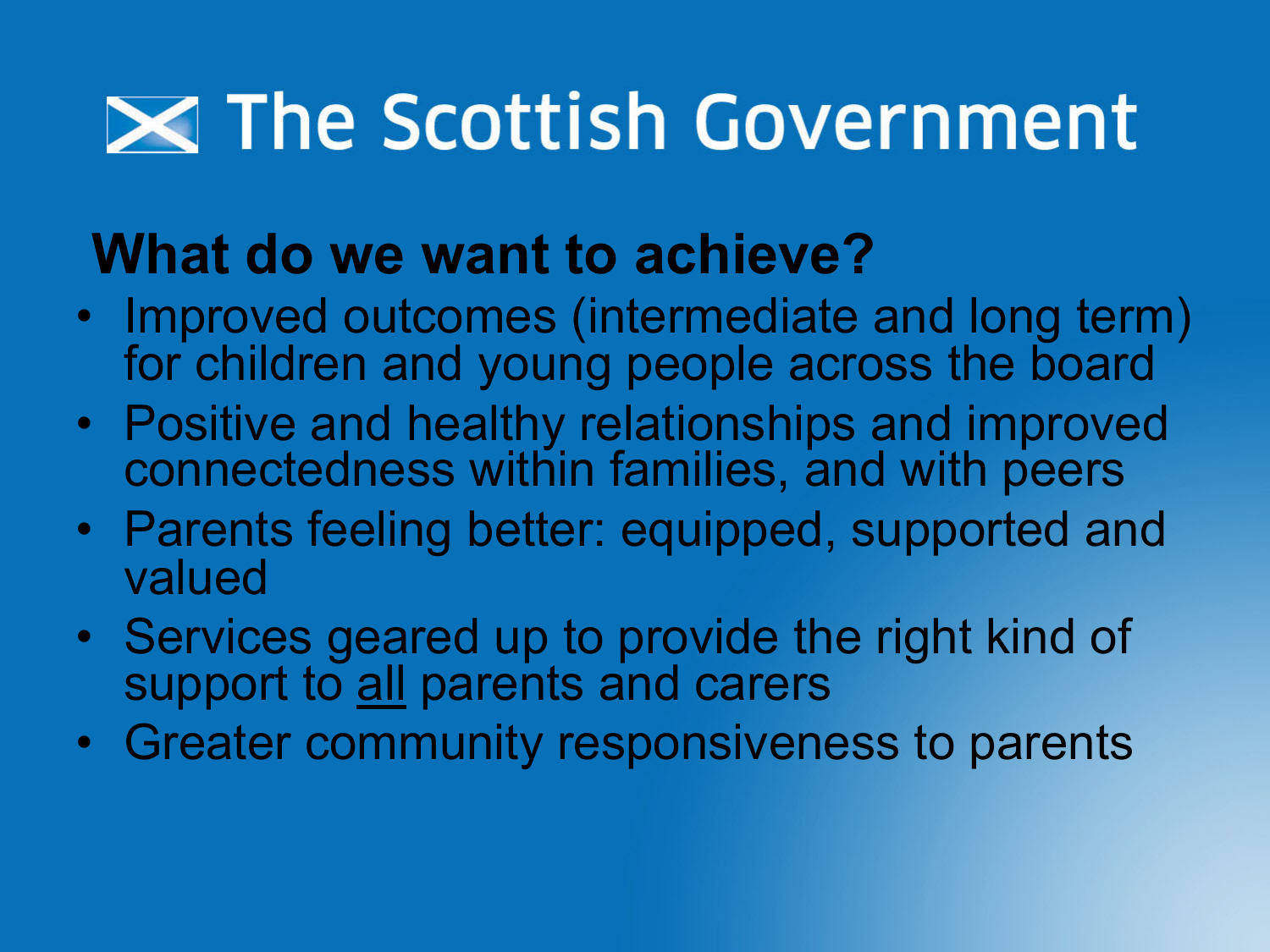#### **What do we want to achieve?**

- Improved outcomes (intermediate and long term) for children and young people across the board
- Positive and healthy relationships and improved connectedness within families, and with peers
- Parents feeling better: equipped, supported and valued
- Services geared up to provide the right kind of support to all parents and carers
- Greater community responsiveness to parents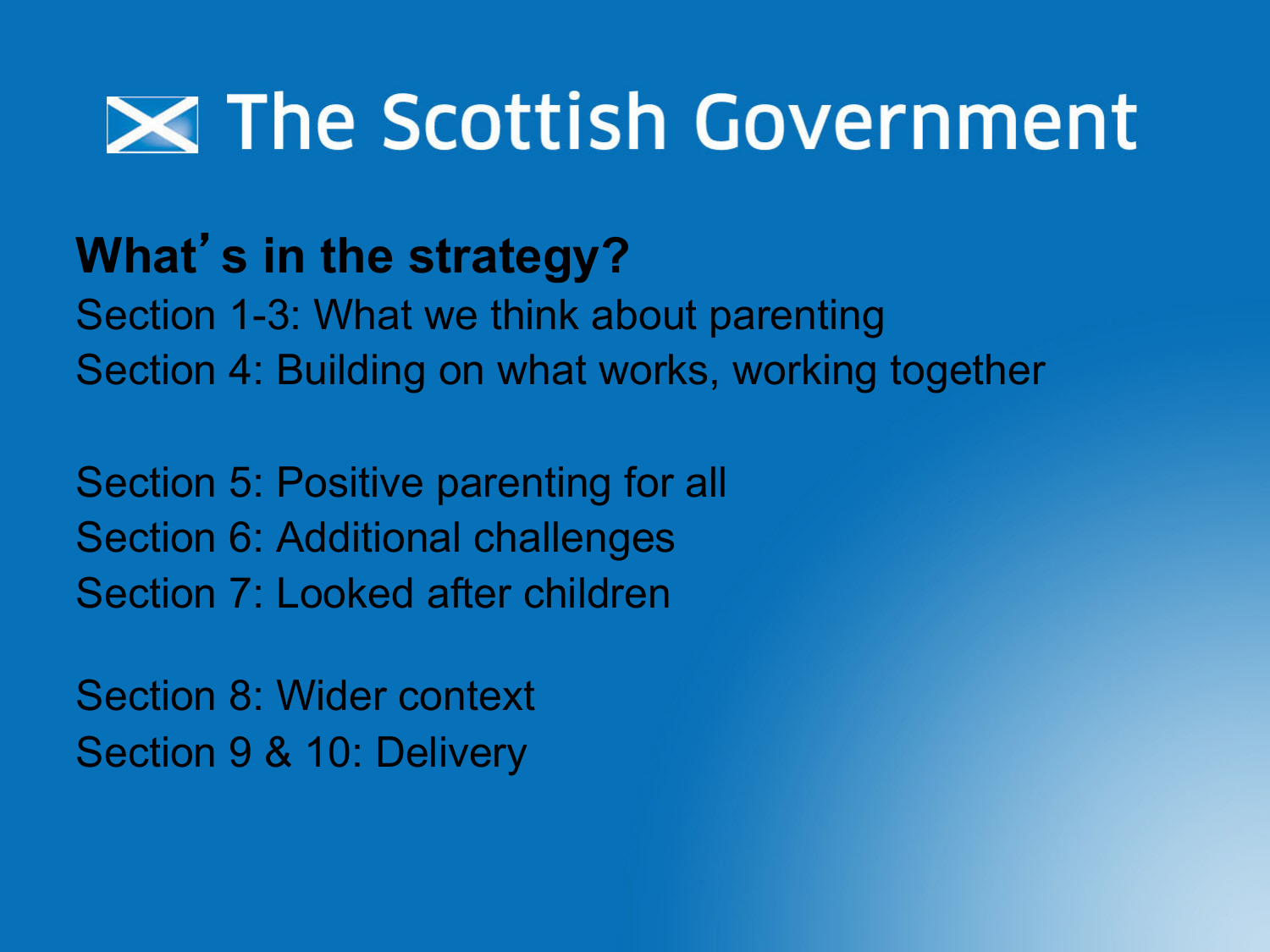#### **What**'**s in the strategy?**

Section 1-3: What we think about parenting Section 4: Building on what works, working together

Section 5: Positive parenting for all Section 6: Additional challenges Section 7: Looked after children

Section 8: Wider context Section 9 & 10: Delivery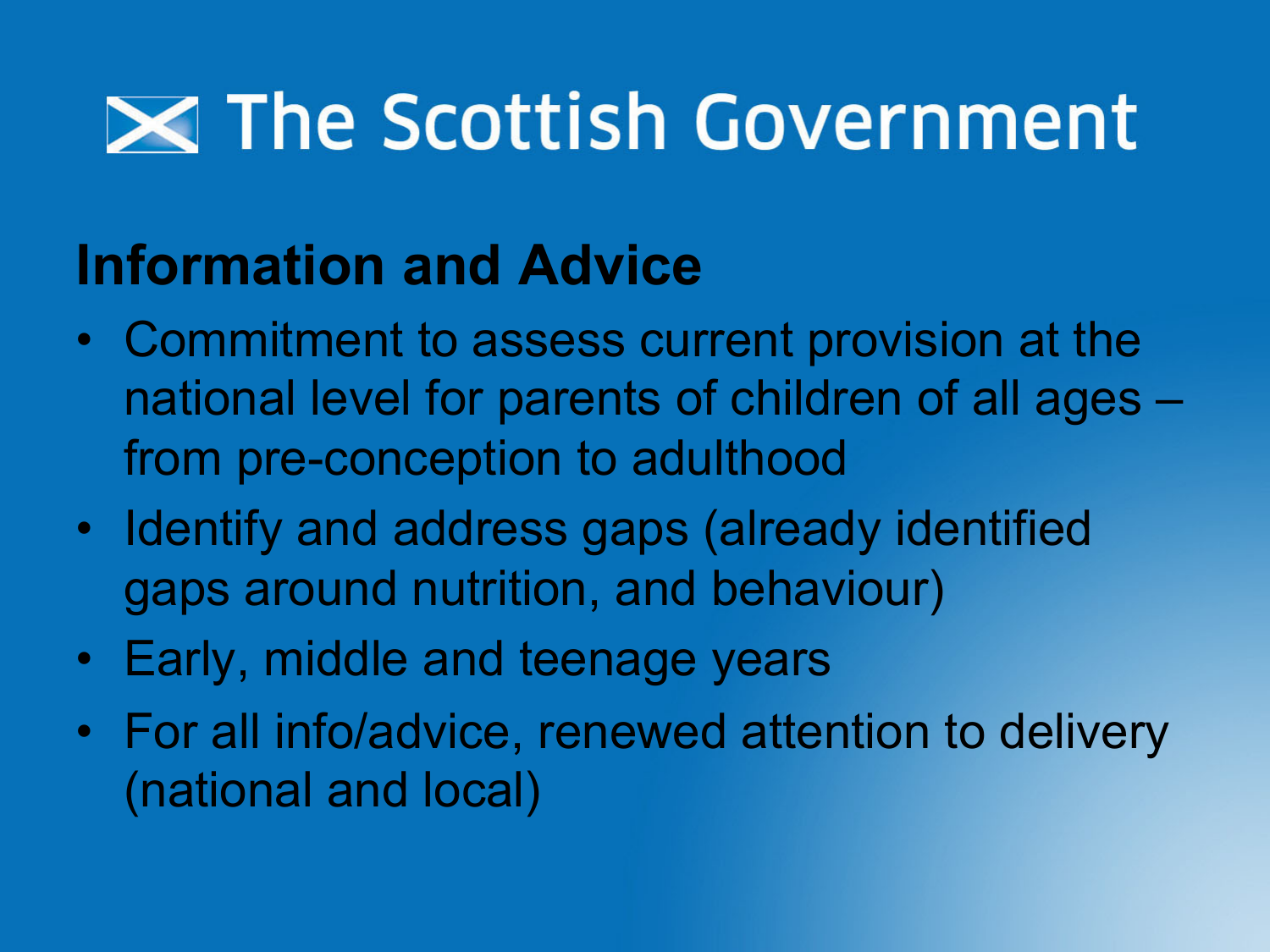#### **Information and Advice**

- Commitment to assess current provision at the national level for parents of children of all ages – from pre-conception to adulthood
- Identify and address gaps (already identified gaps around nutrition, and behaviour)
- Early, middle and teenage years
- For all info/advice, renewed attention to delivery (national and local)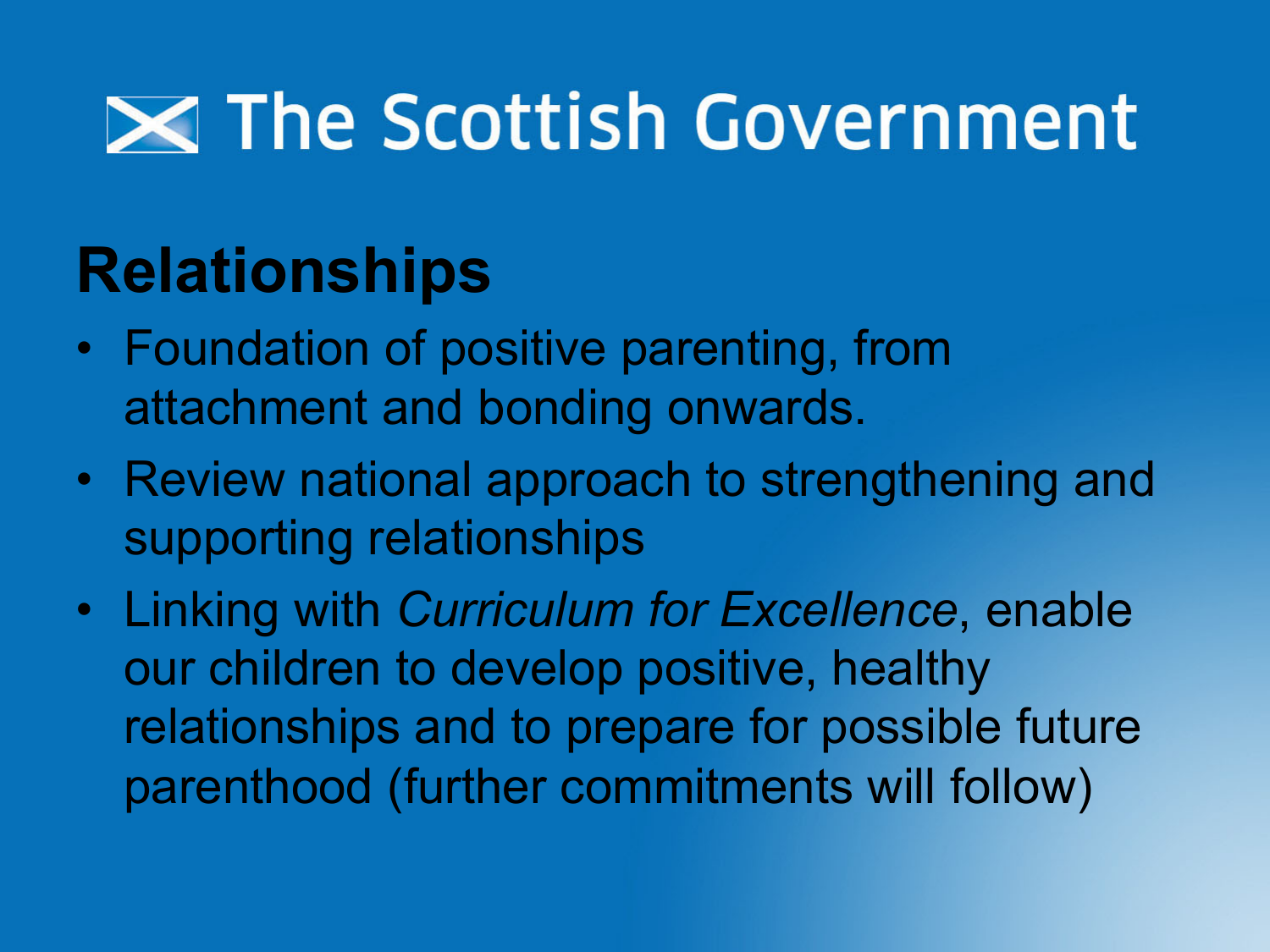#### **Relationships**

- Foundation of positive parenting, from attachment and bonding onwards.
- Review national approach to strengthening and supporting relationships
- Linking with *Curriculum for Excellence*, enable our children to develop positive, healthy relationships and to prepare for possible future parenthood (further commitments will follow)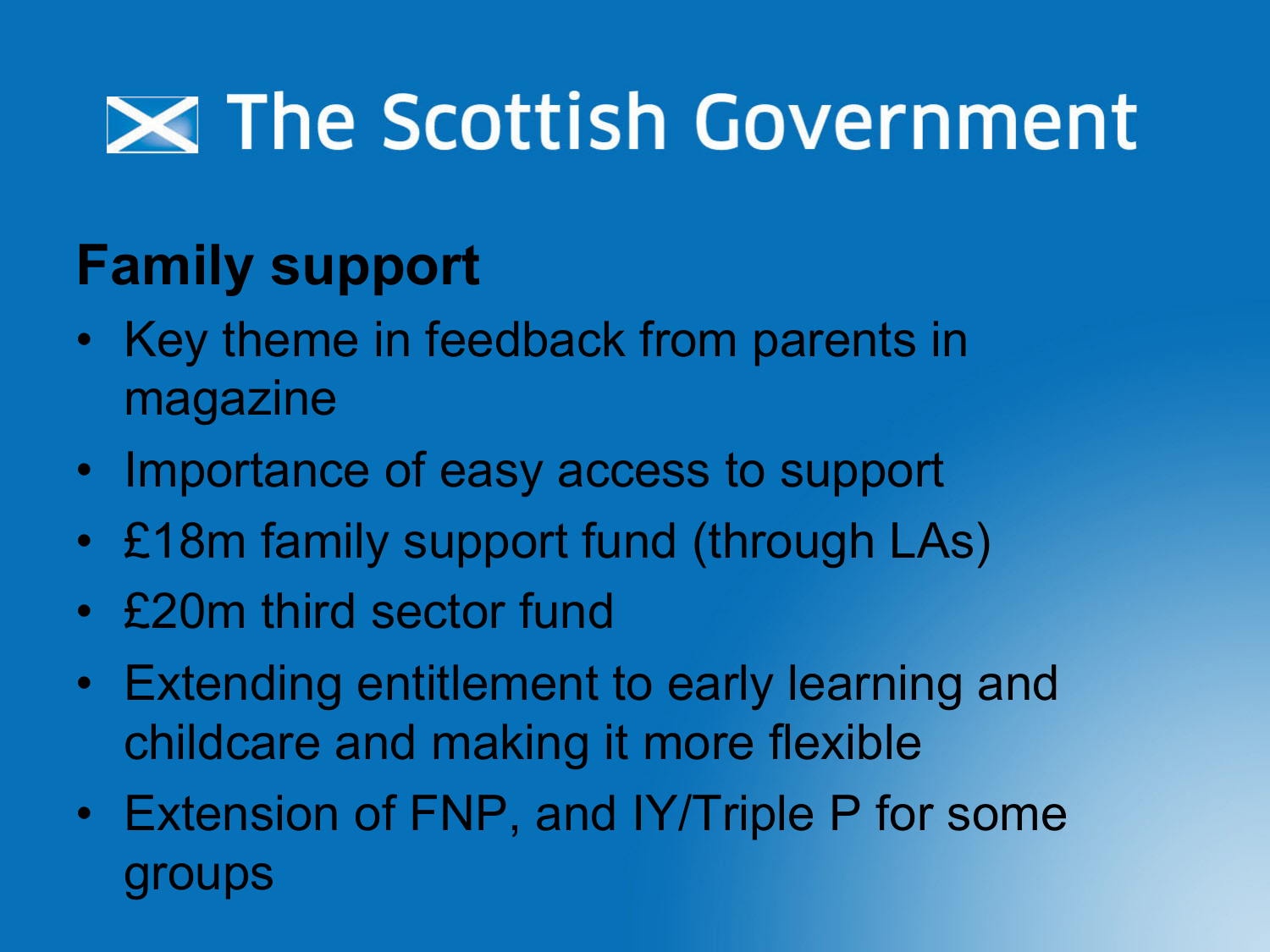#### **Family support**

- Key theme in feedback from parents in magazine
- Importance of easy access to support
- £18m family support fund (through LAs)
- £20m third sector fund
- Extending entitlement to early learning and childcare and making it more flexible
- Extension of FNP, and IY/Triple P for some groups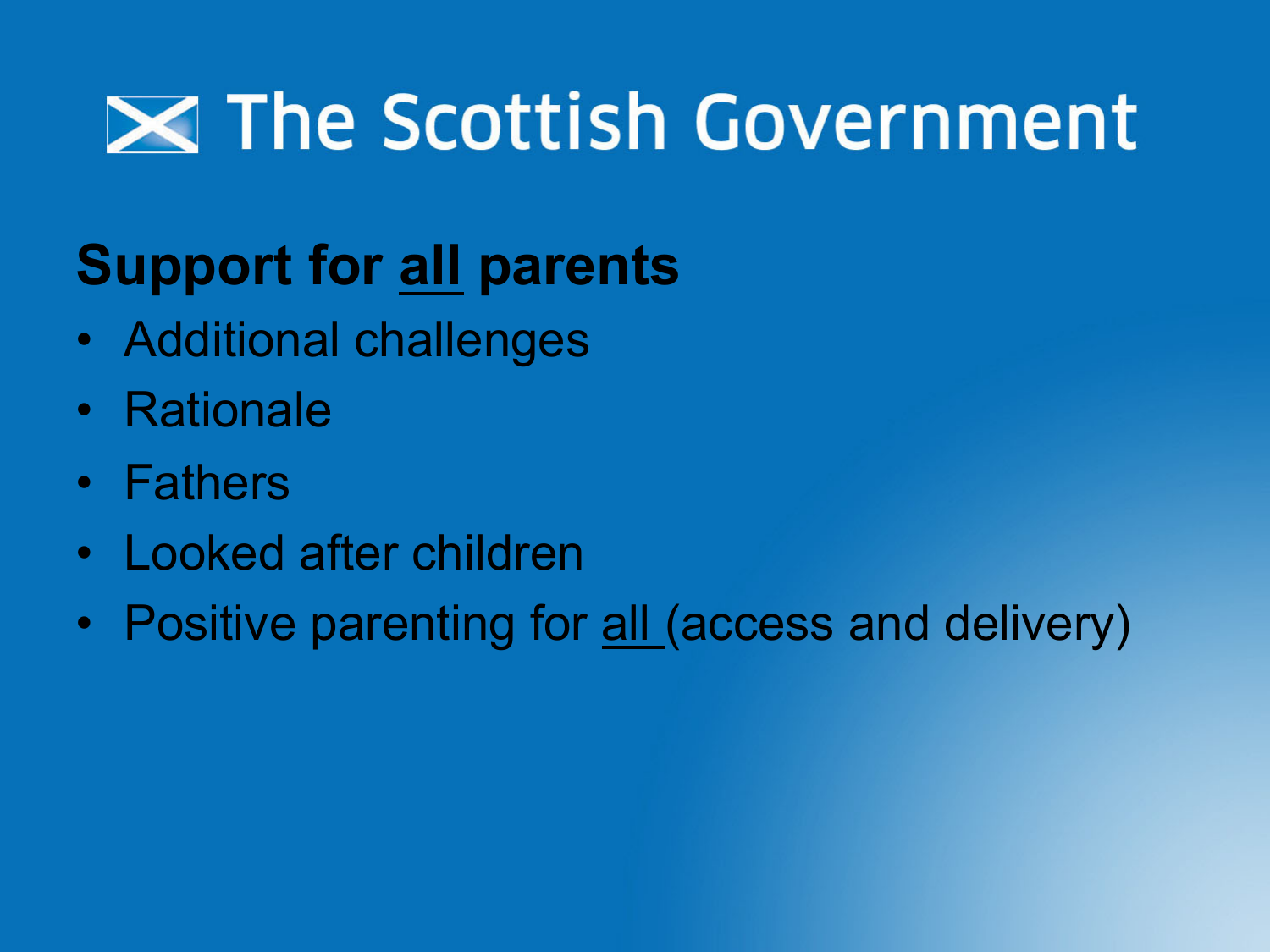#### **Support for all parents**

- Additional challenges
- Rationale
- Fathers
- Looked after children
- Positive parenting for all (access and delivery)